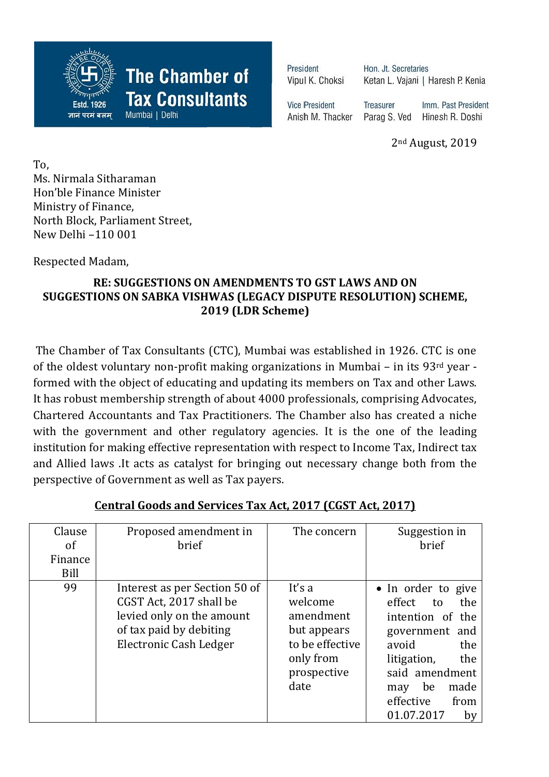

**The Chamber of** 

**Tax Consultants** 

Mumbai | Delhi

President Vipul K. Choksi Hon, Jt. Secretaries Ketan L. Vajani | Haresh P. Kenia

**Vice President** Anish M. Thacker Treasurer Imm. Past President Parag S. Ved Hinesh R. Doshi

2nd August, 2019

To, Ms. Nirmala Sitharaman Hon'ble Finance Minister Ministry of Finance, North Block, Parliament Street, New Delhi –110 001

Respected Madam,

## **RE: SUGGESTIONS ON AMENDMENTS TO GST LAWS AND ON SUGGESTIONS ON SABKA VISHWAS (LEGACY DISPUTE RESOLUTION) SCHEME, 2019 (LDR Scheme)**

The Chamber of Tax Consultants (CTC), Mumbai was established in 1926. CTC is one of the oldest voluntary non-profit making organizations in Mumbai – in its 93rd year formed with the object of educating and updating its members on Tax and other Laws. It has robust membership strength of about 4000 professionals, comprising Advocates, Chartered Accountants and Tax Practitioners. The Chamber also has created a niche with the government and other regulatory agencies. It is the one of the leading institution for making effective representation with respect to Income Tax, Indirect tax and Allied laws .It acts as catalyst for bringing out necessary change both from the perspective of Government as well as Tax payers.

| Clause<br>οf    | Proposed amendment in<br>brief                                                                                                                    | The concern                                                                                          | Suggestion in<br>brief                                                                                                                                                                                |
|-----------------|---------------------------------------------------------------------------------------------------------------------------------------------------|------------------------------------------------------------------------------------------------------|-------------------------------------------------------------------------------------------------------------------------------------------------------------------------------------------------------|
| Finance<br>Bill |                                                                                                                                                   |                                                                                                      |                                                                                                                                                                                                       |
| 99              | Interest as per Section 50 of<br>CGST Act, 2017 shall be<br>levied only on the amount<br>of tax paid by debiting<br><b>Electronic Cash Ledger</b> | It's a<br>welcome<br>amendment<br>but appears<br>to be effective<br>only from<br>prospective<br>date | • In order to give<br>effect<br>the<br>to<br>intention of the<br>government and<br>avoid<br>the<br>litigation,<br>the<br>said amendment<br>made<br>be<br>may<br>effective<br>from<br>01.07.2017<br>by |

## **Central Goods and Services Tax Act, 2017 (CGST Act, 2017)**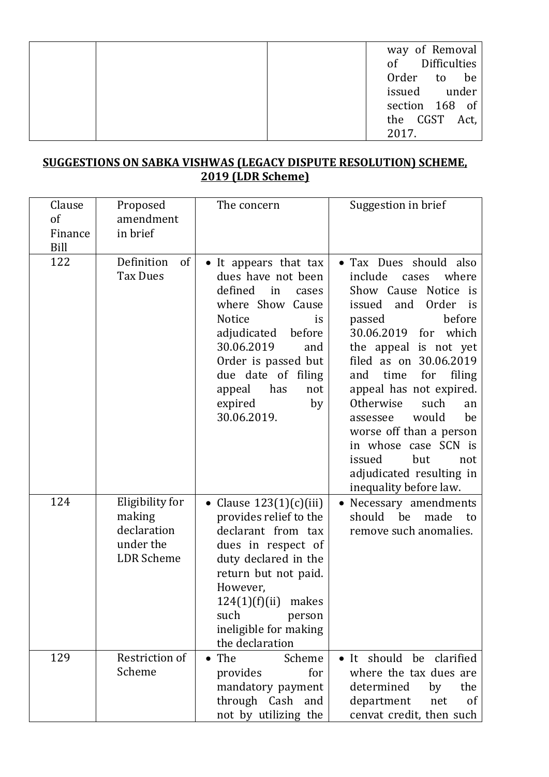|  | way of Removal   |
|--|------------------|
|  | of Difficulties  |
|  | Order to be      |
|  | issued under     |
|  | section 168 of   |
|  | the CGST<br>Act, |
|  | 2017.            |

## **SUGGESTIONS ON SABKA VISHWAS (LEGACY DISPUTE RESOLUTION) SCHEME, 2019 (LDR Scheme)**

| Clause<br>of<br>Finance<br>Bill | Proposed<br>amendment<br>in brief                                          | The concern                                                                                                                                                                                                                                                | Suggestion in brief                                                                                                                                                                                                                                                                                                                                                                                                                                                     |
|---------------------------------|----------------------------------------------------------------------------|------------------------------------------------------------------------------------------------------------------------------------------------------------------------------------------------------------------------------------------------------------|-------------------------------------------------------------------------------------------------------------------------------------------------------------------------------------------------------------------------------------------------------------------------------------------------------------------------------------------------------------------------------------------------------------------------------------------------------------------------|
| 122                             | of<br>Definition<br><b>Tax Dues</b>                                        | It appears that tax<br>dues have not been<br>defined<br>in<br>cases<br>where Show Cause<br>Notice<br>is<br>adjudicated<br>before<br>30.06.2019<br>and<br>Order is passed but<br>due date of filing<br>has<br>appeal<br>not<br>expired<br>by<br>30.06.2019. | Tax Dues should also<br>$\bullet$<br>include<br>where<br>cases<br>Show Cause Notice is<br>issued<br>and<br>Order<br>is<br>before<br>passed<br>30.06.2019 for which<br>the appeal is not yet<br>filed as on 30.06.2019<br>for<br>filing<br>time<br>and<br>appeal has not expired.<br>Otherwise<br>such<br>an<br>would<br>be<br>assessee<br>worse off than a person<br>in whose case SCN is<br>issued<br>but<br>not<br>adjudicated resulting in<br>inequality before law. |
| 124                             | Eligibility for<br>making<br>declaration<br>under the<br><b>LDR</b> Scheme | Clause $123(1)(c)(iii)$<br>provides relief to the<br>declarant from tax<br>dues in respect of<br>duty declared in the<br>return but not paid.<br>However,<br>124(1)(f)(ii)<br>makes<br>such<br>person<br>ineligible for making<br>the declaration          | Necessary amendments<br>should<br>be<br>made<br>to<br>remove such anomalies.                                                                                                                                                                                                                                                                                                                                                                                            |
| 129                             | Restriction of<br>Scheme                                                   | $\bullet$ The<br>Scheme<br>for<br>provides<br>mandatory payment<br>through Cash and<br>not by utilizing the                                                                                                                                                | • It should be clarified<br>where the tax dues are<br>determined<br>by<br>the<br>department<br>net<br><sub>of</sub><br>cenvat credit, then such                                                                                                                                                                                                                                                                                                                         |